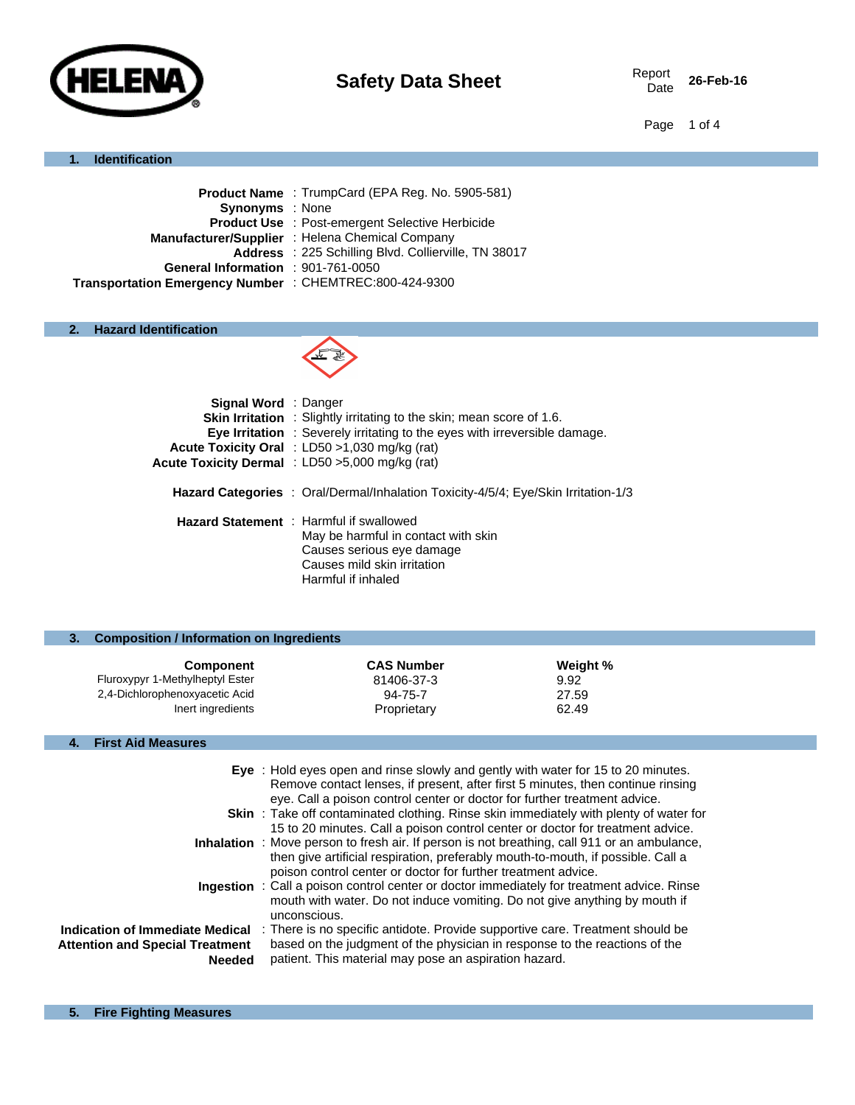

26-Feb-16

Page 1 of 4

## **1. Identification**

| <b>Product Name</b> : TrumpCard (EPA Reg. No. 5905-581) |
|---------------------------------------------------------|
| <b>Synonyms</b> : None                                  |
| <b>Product Use : Post-emergent Selective Herbicide</b>  |
| Manufacturer/Supplier: Helena Chemical Company          |
| Address : 225 Schilling Blvd. Collierville, TN 38017    |
| General Information : 901-761-0050                      |
| Transportation Emergency Number : CHEMTREC:800-424-9300 |
|                                                         |

## **2. Hazard Identification**



| Signal Word : Danger | <b>Skin Irritation</b> : Slightly irritating to the skin; mean score of 1.6.<br><b>Eye Irritation</b> : Severely irritating to the eyes with irreversible damage.<br><b>Acute Toxicity Oral</b> : LD50 $>1.030$ mg/kg (rat)<br>Acute Toxicity Dermal : LD50 >5,000 mg/kg (rat) |
|----------------------|--------------------------------------------------------------------------------------------------------------------------------------------------------------------------------------------------------------------------------------------------------------------------------|
|                      | <b>Hazard Categories</b> : Oral/Dermal/Inhalation Toxicity-4/5/4; Eye/Skin Irritation-1/3                                                                                                                                                                                      |
|                      | <b>Hazard Statement</b> : Harmful if swallowed<br>May be harmful in contact with skin<br>Causes serious eye damage<br>Causes mild skin irritation<br>Harmful if inhaled                                                                                                        |

| <b>Composition / Information on Ingredients</b> |                   |          |  |
|-------------------------------------------------|-------------------|----------|--|
| <b>Component</b>                                | <b>CAS Number</b> | Weight % |  |
| Fluroxypyr 1-Methylheptyl Ester                 | 81406-37-3        | 9.92     |  |
| 2,4-Dichlorophenoxyacetic Acid                  | 94-75-7           | 27.59    |  |
| Inert ingredients                               | Proprietary       | 62.49    |  |
|                                                 |                   |          |  |

## **4. First Aid Measures**

|                                                                                            | Eye : Hold eyes open and rinse slowly and gently with water for 15 to 20 minutes.<br>Remove contact lenses, if present, after first 5 minutes, then continue rinsing<br>eye. Call a poison control center or doctor for further treatment advice.<br><b>Skin</b> : Take off contaminated clothing. Rinse skin immediately with plenty of water for<br>15 to 20 minutes. Call a poison control center or doctor for treatment advice. |
|--------------------------------------------------------------------------------------------|--------------------------------------------------------------------------------------------------------------------------------------------------------------------------------------------------------------------------------------------------------------------------------------------------------------------------------------------------------------------------------------------------------------------------------------|
|                                                                                            | <b>Inhalation</b> : Move person to fresh air. If person is not breathing, call 911 or an ambulance,<br>then give artificial respiration, preferably mouth-to-mouth, if possible. Call a<br>poison control center or doctor for further treatment advice.                                                                                                                                                                             |
|                                                                                            | Ingestion : Call a poison control center or doctor immediately for treatment advice. Rinse<br>mouth with water. Do not induce vomiting. Do not give anything by mouth if<br>unconscious.                                                                                                                                                                                                                                             |
| Indication of Immediate Medical<br><b>Attention and Special Treatment</b><br><b>Needed</b> | : There is no specific antidote. Provide supportive care. Treatment should be<br>based on the judgment of the physician in response to the reactions of the<br>patient. This material may pose an aspiration hazard.                                                                                                                                                                                                                 |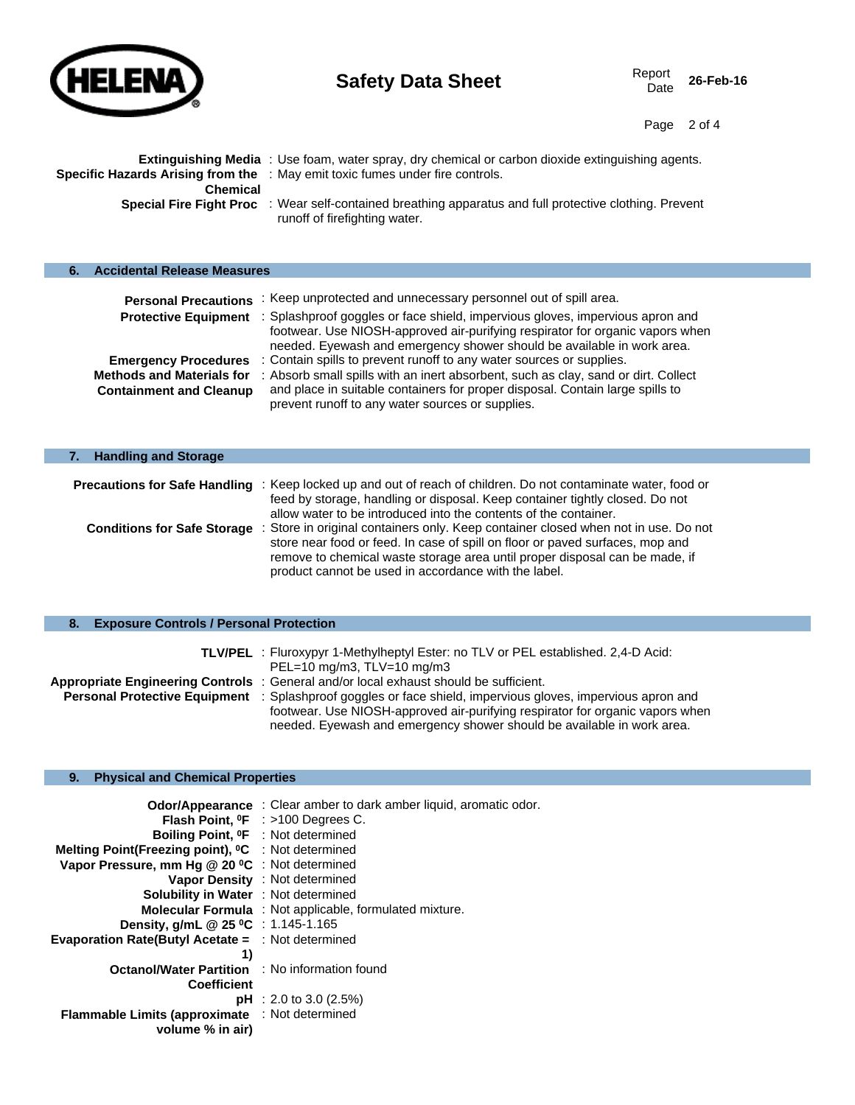

Page 2 of 4

|                 | Extinguishing Media : Use foam, water spray, dry chemical or carbon dioxide extinguishing agents.                                               |
|-----------------|-------------------------------------------------------------------------------------------------------------------------------------------------|
|                 | Specific Hazards Arising from the : May emit toxic fumes under fire controls.                                                                   |
| <b>Chemical</b> |                                                                                                                                                 |
|                 | <b>Special Fire Fight Proc</b> : Wear self-contained breathing apparatus and full protective clothing. Prevent<br>runoff of firefighting water. |

## **6. Accidental Release Measures**

| <b>Personal Precautions</b>                                                                       | : Keep unprotected and unnecessary personnel out of spill area.                                                                                                                                                                                                                                 |
|---------------------------------------------------------------------------------------------------|-------------------------------------------------------------------------------------------------------------------------------------------------------------------------------------------------------------------------------------------------------------------------------------------------|
| <b>Protective Equipment</b>                                                                       | : Splashproof goggles or face shield, impervious gloves, impervious apron and<br>footwear. Use NIOSH-approved air-purifying respirator for organic vapors when<br>needed. Eyewash and emergency shower should be available in work area.                                                        |
| <b>Emergency Procedures</b><br><b>Methods and Materials for</b><br><b>Containment and Cleanup</b> | : Contain spills to prevent runoff to any water sources or supplies.<br>: Absorb small spills with an inert absorbent, such as clay, sand or dirt. Collect<br>and place in suitable containers for proper disposal. Contain large spills to<br>prevent runoff to any water sources or supplies. |

## **7. Handling and Storage**

| <b>Precautions for Safe Handling</b> : Keep locked up and out of reach of children. Do not contaminate water, food or<br>feed by storage, handling or disposal. Keep container tightly closed. Do not<br>allow water to be introduced into the contents of the container.                                                                     |
|-----------------------------------------------------------------------------------------------------------------------------------------------------------------------------------------------------------------------------------------------------------------------------------------------------------------------------------------------|
| <b>Conditions for Safe Storage</b> : Store in original containers only. Keep container closed when not in use. Do not<br>store near food or feed. In case of spill on floor or payed surfaces, mop and<br>remove to chemical waste storage area until proper disposal can be made, if<br>product cannot be used in accordance with the label. |

## **8. Exposure Controls / Personal Protection**

|                                      | <b>TLV/PEL</b> : Fluroxypyr 1-Methylheptyl Ester: no TLV or PEL established. 2.4-D Acid:<br>$PEL=10$ mg/m3, $TLV=10$ mg/m3 |
|--------------------------------------|----------------------------------------------------------------------------------------------------------------------------|
|                                      | Appropriate Engineering Controls : General and/or local exhaust should be sufficient.                                      |
| <b>Personal Protective Equipment</b> | : Splashproof goggles or face shield, impervious gloves, impervious apron and                                              |
|                                      | footwear. Use NIOSH-approved air-purifying respirator for organic vapors when                                              |
|                                      | needed. Eyewash and emergency shower should be available in work area.                                                     |

## **9. Physical and Chemical Properties**

| <b>Odor/Appearance</b> : Clear amber to dark amber liquid, aromatic odor.                                      |
|----------------------------------------------------------------------------------------------------------------|
| <b>Flash Point, <math>^{\circ}</math>F</b> : >100 Degrees C.<br>Boiling Point, <sup>o</sup> F : Not determined |
| Melting Point(Freezing point), <sup>o</sup> C : Not determined                                                 |
| Vapor Pressure, mm Hg $@$ 20 $°C$ : Not determined                                                             |
| Vapor Density : Not determined                                                                                 |
| <b>Solubility in Water : Not determined</b>                                                                    |
| <b>Molecular Formula</b> : Not applicable, formulated mixture.                                                 |
| <b>Density, g/mL @ 25 °C</b> : 1.145-1.165                                                                     |
| <b>Evaporation Rate(Butyl Acetate = : Not determined</b>                                                       |
|                                                                                                                |
| <b>Octanol/Water Partition : No information found</b>                                                          |
|                                                                                                                |
| <b>pH</b> : 2.0 to 3.0 (2.5%)                                                                                  |
| Flammable Limits (approximate : Not determined                                                                 |
|                                                                                                                |
|                                                                                                                |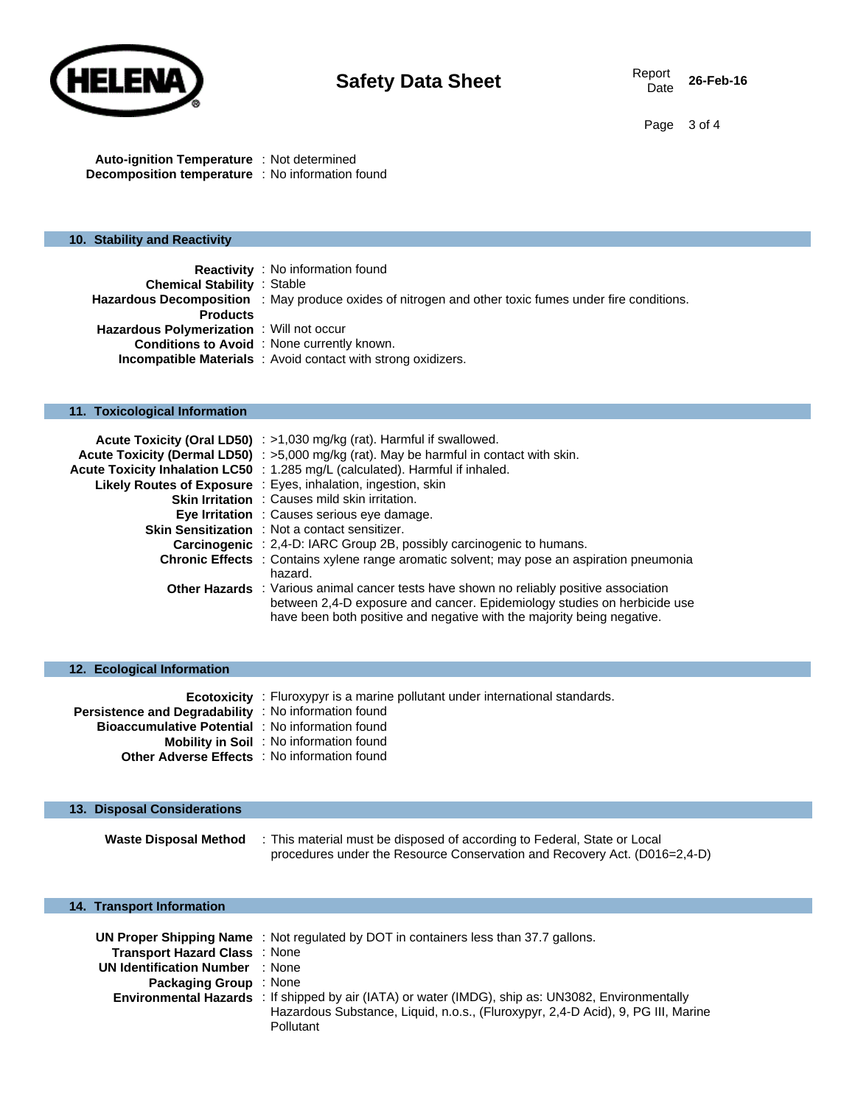

Page 3 of 4

**Auto-ignition Temperature** : Not determined **Decomposition temperature** : No information found

## **10. Stability and Reactivity**

|                                                  | <b>Reactivity</b> : No information found                                                              |
|--------------------------------------------------|-------------------------------------------------------------------------------------------------------|
| <b>Chemical Stability : Stable</b>               |                                                                                                       |
|                                                  | Hazardous Decomposition : May produce oxides of nitrogen and other toxic fumes under fire conditions. |
| <b>Products</b>                                  |                                                                                                       |
| <b>Hazardous Polymerization</b> : Will not occur |                                                                                                       |
|                                                  | <b>Conditions to Avoid</b> : None currently known.                                                    |
|                                                  | <b>Incompatible Materials</b> : Avoid contact with strong oxidizers.                                  |

## **11. Toxicological Information**

| Acute Toxicity (Oral LD50) : >1,030 mg/kg (rat). Harmful if swallowed.                                                                                                                                                                               |
|------------------------------------------------------------------------------------------------------------------------------------------------------------------------------------------------------------------------------------------------------|
| <b>Acute Toxicity (Dermal LD50)</b> : $>5,000$ mg/kg (rat). May be harmful in contact with skin.                                                                                                                                                     |
| Acute Toxicity Inhalation LC50 : 1.285 mg/L (calculated). Harmful if inhaled.                                                                                                                                                                        |
| <b>Likely Routes of Exposure</b> : Eyes, inhalation, ingestion, skin                                                                                                                                                                                 |
| <b>Skin Irritation</b> : Causes mild skin irritation.                                                                                                                                                                                                |
| <b>Eye Irritation</b> : Causes serious eye damage.                                                                                                                                                                                                   |
| <b>Skin Sensitization</b> : Not a contact sensitizer.                                                                                                                                                                                                |
| <b>Carcinogenic</b> : 2,4-D: IARC Group 2B, possibly carcinogenic to humans.                                                                                                                                                                         |
| <b>Chronic Effects</b> : Contains xylene range aromatic solvent; may pose an aspiration pneumonia<br>hazard.                                                                                                                                         |
| <b>Other Hazards</b> : Various animal cancer tests have shown no reliably positive association<br>between 2,4-D exposure and cancer. Epidemiology studies on herbicide use<br>have been both positive and negative with the majority being negative. |

| 12. Ecological Information                              |                                                                                      |
|---------------------------------------------------------|--------------------------------------------------------------------------------------|
|                                                         | <b>Ecotoxicity</b> : Fluroxypyr is a marine pollutant under international standards. |
| Persistence and Degradability : No information found    |                                                                                      |
| <b>Bioaccumulative Potential</b> : No information found |                                                                                      |
|                                                         | <b>Mobility in Soil</b> : No information found                                       |
|                                                         | <b>Other Adverse Effects</b> : No information found                                  |

## **13. Disposal Considerations Waste Disposal Method** : This material must be disposed of according to Federal, State or Local procedures under the Resource Conservation and Recovery Act. (D016=2,4-D)

## **14. Transport Information**

|                                        | UN Proper Shipping Name: Not regulated by DOT in containers less than 37.7 gallons.                       |  |  |  |
|----------------------------------------|-----------------------------------------------------------------------------------------------------------|--|--|--|
| <b>Transport Hazard Class : None</b>   |                                                                                                           |  |  |  |
| <b>UN Identification Number : None</b> |                                                                                                           |  |  |  |
| <b>Packaging Group</b> : None          |                                                                                                           |  |  |  |
|                                        | <b>Environmental Hazards</b> : If shipped by air (IATA) or water (IMDG), ship as: UN3082, Environmentally |  |  |  |
|                                        | Hazardous Substance, Liquid, n.o.s., (Fluroxypyr, 2,4-D Acid), 9, PG III, Marine                          |  |  |  |
|                                        | Pollutant                                                                                                 |  |  |  |